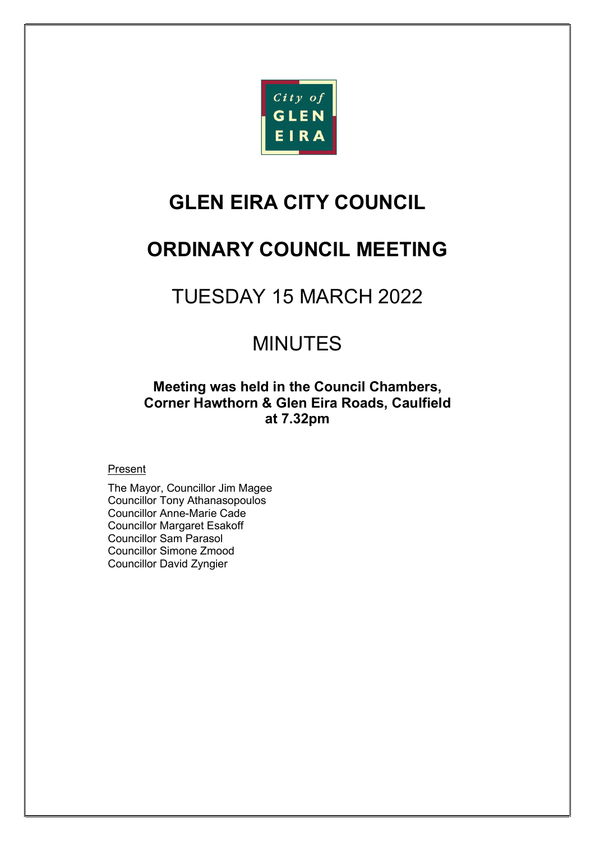

# GLEN EIRA CITY COUNCIL

# ORDINARY COUNCIL MEETING

# TUESDAY 15 MARCH 2022

# MINUTES

# Meeting was held in the Council Chambers, Corner Hawthorn & Glen Eira Roads, Caulfield at 7.32pm

### **Present**

The Mayor, Councillor Jim Magee Councillor Tony Athanasopoulos Councillor Anne-Marie Cade Councillor Margaret Esakoff Councillor Sam Parasol Councillor Simone Zmood Councillor David Zyngier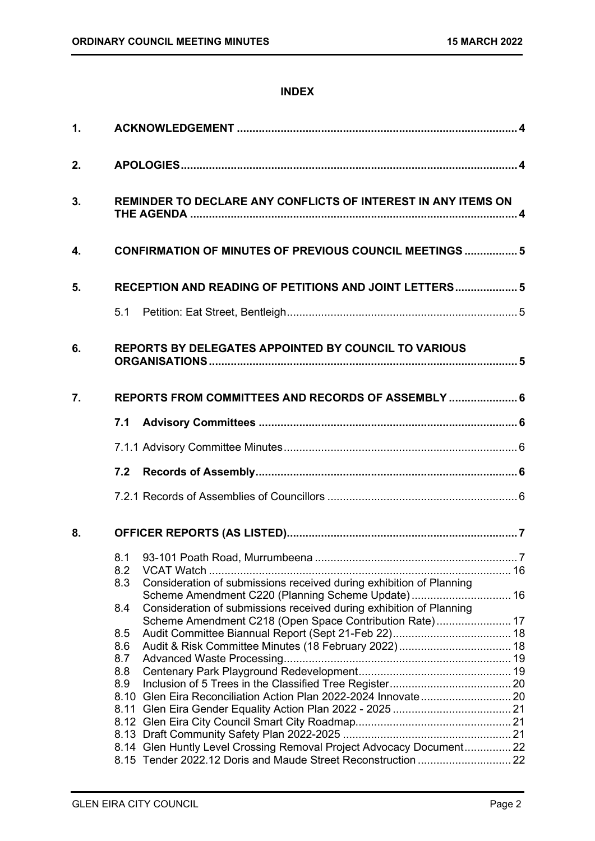### INDEX

| 1. |             |                                                                                                                          |  |
|----|-------------|--------------------------------------------------------------------------------------------------------------------------|--|
| 2. |             |                                                                                                                          |  |
| 3. |             | REMINDER TO DECLARE ANY CONFLICTS OF INTEREST IN ANY ITEMS ON                                                            |  |
| 4. |             | <b>CONFIRMATION OF MINUTES OF PREVIOUS COUNCIL MEETINGS  5</b>                                                           |  |
| 5. |             | RECEPTION AND READING OF PETITIONS AND JOINT LETTERS 5                                                                   |  |
|    |             |                                                                                                                          |  |
| 6. |             | <b>REPORTS BY DELEGATES APPOINTED BY COUNCIL TO VARIOUS</b>                                                              |  |
| 7. |             | REPORTS FROM COMMITTEES AND RECORDS OF ASSEMBLY  6                                                                       |  |
|    | 7.1         |                                                                                                                          |  |
|    |             |                                                                                                                          |  |
|    | 7.2         |                                                                                                                          |  |
|    |             |                                                                                                                          |  |
| 8. |             |                                                                                                                          |  |
|    | 8.1         |                                                                                                                          |  |
|    | 8.2         |                                                                                                                          |  |
|    | 8.3         | Consideration of submissions received during exhibition of Planning<br>Scheme Amendment C220 (Planning Scheme Update) 16 |  |
|    | 8.4         | Consideration of submissions received during exhibition of Planning                                                      |  |
|    | 8.5         | Scheme Amendment C218 (Open Space Contribution Rate) 17                                                                  |  |
|    | 8.6         |                                                                                                                          |  |
|    | 8.7         |                                                                                                                          |  |
|    | 8.8         |                                                                                                                          |  |
|    | 8.9<br>8.10 |                                                                                                                          |  |
|    |             |                                                                                                                          |  |
|    |             |                                                                                                                          |  |
|    |             | 8.14 Glen Huntly Level Crossing Removal Project Advocacy Document 22                                                     |  |
|    |             |                                                                                                                          |  |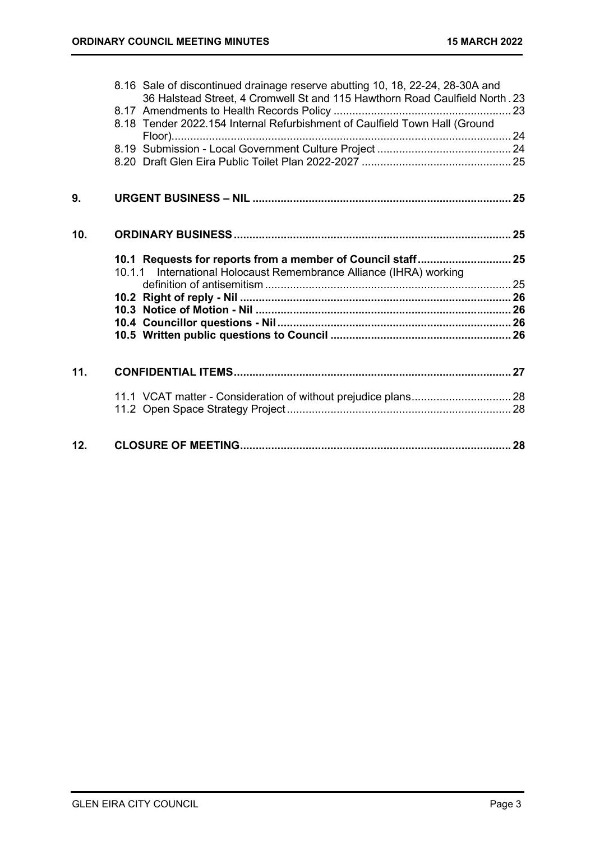|     | 8.16 Sale of discontinued drainage reserve abutting 10, 18, 22-24, 28-30A and<br>36 Halstead Street, 4 Cromwell St and 115 Hawthorn Road Caulfield North. 23 |  |
|-----|--------------------------------------------------------------------------------------------------------------------------------------------------------------|--|
|     |                                                                                                                                                              |  |
|     | 8.18 Tender 2022.154 Internal Refurbishment of Caulfield Town Hall (Ground                                                                                   |  |
|     |                                                                                                                                                              |  |
|     |                                                                                                                                                              |  |
|     |                                                                                                                                                              |  |
| 9.  |                                                                                                                                                              |  |
| 10. |                                                                                                                                                              |  |
|     |                                                                                                                                                              |  |
|     |                                                                                                                                                              |  |
|     | 10.1.1 International Holocaust Remembrance Alliance (IHRA) working                                                                                           |  |
|     |                                                                                                                                                              |  |
|     |                                                                                                                                                              |  |
|     |                                                                                                                                                              |  |
|     |                                                                                                                                                              |  |
| 11. |                                                                                                                                                              |  |
|     |                                                                                                                                                              |  |
|     |                                                                                                                                                              |  |
|     |                                                                                                                                                              |  |
| 12. |                                                                                                                                                              |  |
|     |                                                                                                                                                              |  |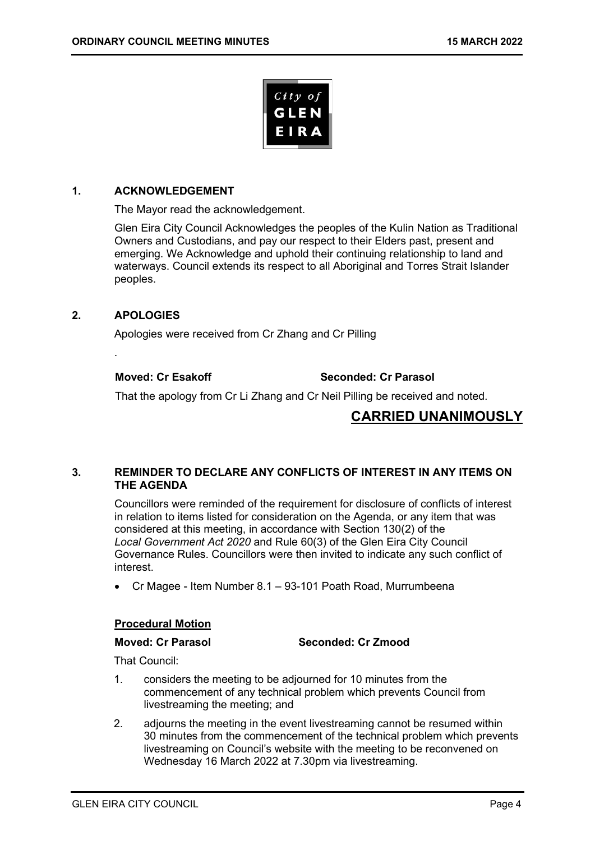

### 1. ACKNOWLEDGEMENT

The Mayor read the acknowledgement.

Glen Eira City Council Acknowledges the peoples of the Kulin Nation as Traditional Owners and Custodians, and pay our respect to their Elders past, present and emerging. We Acknowledge and uphold their continuing relationship to land and waterways. Council extends its respect to all Aboriginal and Torres Strait Islander peoples.

### 2. APOLOGIES

.

Apologies were received from Cr Zhang and Cr Pilling

Moved: Cr Esakoff Seconded: Cr Parasol

That the apology from Cr Li Zhang and Cr Neil Pilling be received and noted.

## CARRIED UNANIMOUSLY

### 3. REMINDER TO DECLARE ANY CONFLICTS OF INTEREST IN ANY ITEMS ON THE AGENDA

Councillors were reminded of the requirement for disclosure of conflicts of interest in relation to items listed for consideration on the Agenda, or any item that was considered at this meeting, in accordance with Section 130(2) of the Local Government Act 2020 and Rule 60(3) of the Glen Eira City Council Governance Rules. Councillors were then invited to indicate any such conflict of interest.

Cr Magee - Item Number 8.1 – 93-101 Poath Road, Murrumbeena

### Procedural Motion

Moved: Cr Parasol Seconded: Cr Zmood

That Council:

- 1. considers the meeting to be adjourned for 10 minutes from the commencement of any technical problem which prevents Council from livestreaming the meeting; and
- 2. adjourns the meeting in the event livestreaming cannot be resumed within 30 minutes from the commencement of the technical problem which prevents livestreaming on Council's website with the meeting to be reconvened on Wednesday 16 March 2022 at 7.30pm via livestreaming.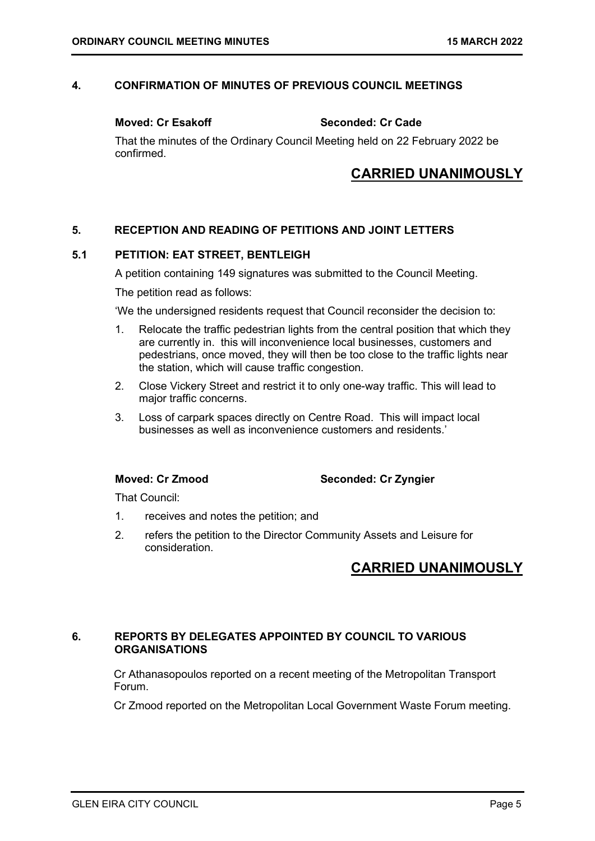### 4. CONFIRMATION OF MINUTES OF PREVIOUS COUNCIL MEETINGS

Moved: Cr Esakoff Seconded: Cr Cade

That the minutes of the Ordinary Council Meeting held on 22 February 2022 be confirmed.

# CARRIED UNANIMOUSLY

### 5. RECEPTION AND READING OF PETITIONS AND JOINT LETTERS

### 5.1 PETITION: EAT STREET, BENTLEIGH

A petition containing 149 signatures was submitted to the Council Meeting.

The petition read as follows:

'We the undersigned residents request that Council reconsider the decision to:

- 1. Relocate the traffic pedestrian lights from the central position that which they are currently in. this will inconvenience local businesses, customers and pedestrians, once moved, they will then be too close to the traffic lights near the station, which will cause traffic congestion.
- 2. Close Vickery Street and restrict it to only one-way traffic. This will lead to major traffic concerns.
- 3. Loss of carpark spaces directly on Centre Road. This will impact local businesses as well as inconvenience customers and residents.'

Moved: Cr Zmood Seconded: Cr Zyngier

That Council:

- 1. receives and notes the petition; and
- 2. refers the petition to the Director Community Assets and Leisure for consideration.

# CARRIED UNANIMOUSLY

### 6. REPORTS BY DELEGATES APPOINTED BY COUNCIL TO VARIOUS **ORGANISATIONS**

Cr Athanasopoulos reported on a recent meeting of the Metropolitan Transport Forum.

Cr Zmood reported on the Metropolitan Local Government Waste Forum meeting.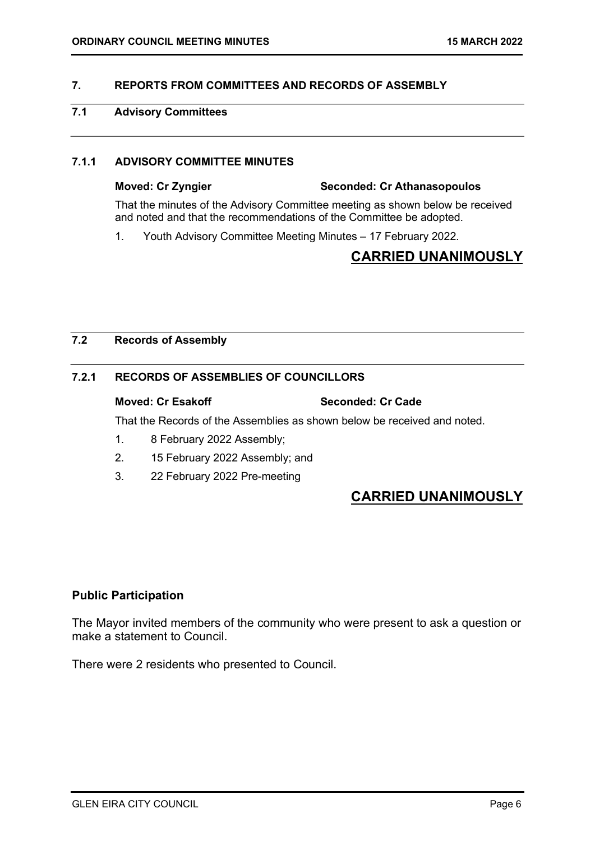### 7. REPORTS FROM COMMITTEES AND RECORDS OF ASSEMBLY

### 7.1 Advisory Committees

### 7.1.1 ADVISORY COMMITTEE MINUTES

### Moved: Cr Zyngier Seconded: Cr Athanasopoulos

That the minutes of the Advisory Committee meeting as shown below be received and noted and that the recommendations of the Committee be adopted.

1. Youth Advisory Committee Meeting Minutes – 17 February 2022.

# CARRIED UNANIMOUSLY

### 7.2 Records of Assembly

### 7.2.1 RECORDS OF ASSEMBLIES OF COUNCILLORS

### Moved: Cr Esakoff Seconded: Cr Cade

That the Records of the Assemblies as shown below be received and noted.

- 1. 8 February 2022 Assembly;
- 2. 15 February 2022 Assembly; and
- 3. 22 February 2022 Pre-meeting

# CARRIED UNANIMOUSLY

### Public Participation

The Mayor invited members of the community who were present to ask a question or make a statement to Council.

There were 2 residents who presented to Council.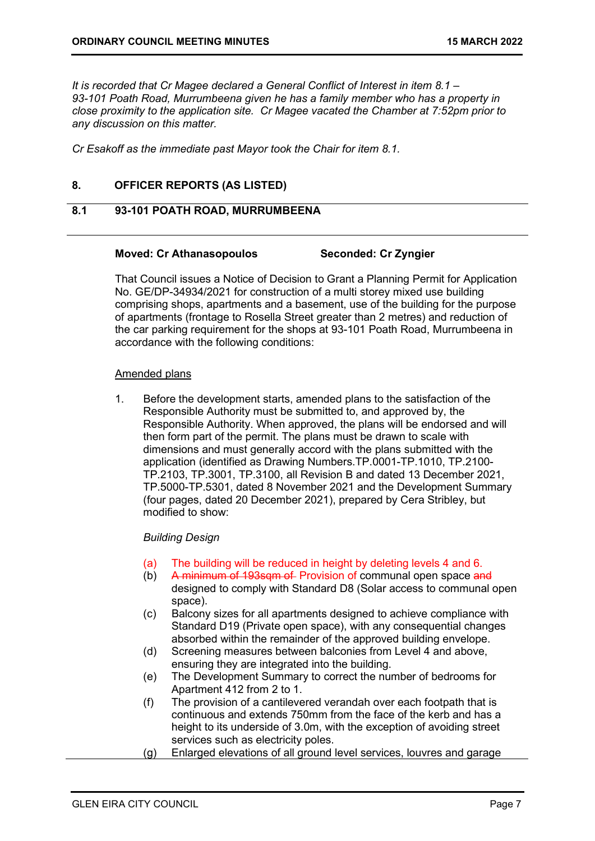It is recorded that Cr Magee declared a General Conflict of Interest in item 8.1 – 93-101 Poath Road, Murrumbeena given he has a family member who has a property in close proximity to the application site. Cr Magee vacated the Chamber at 7:52pm prior to any discussion on this matter.

Cr Esakoff as the immediate past Mayor took the Chair for item 8.1.

### 8. OFFICER REPORTS (AS LISTED)

### 8.1 93-101 POATH ROAD, MURRUMBEENA

### Moved: Cr Athanasopoulos Seconded: Cr Zyngier

That Council issues a Notice of Decision to Grant a Planning Permit for Application No. GE/DP-34934/2021 for construction of a multi storey mixed use building comprising shops, apartments and a basement, use of the building for the purpose of apartments (frontage to Rosella Street greater than 2 metres) and reduction of the car parking requirement for the shops at 93-101 Poath Road, Murrumbeena in accordance with the following conditions:

### Amended plans

1. Before the development starts, amended plans to the satisfaction of the Responsible Authority must be submitted to, and approved by, the Responsible Authority. When approved, the plans will be endorsed and will then form part of the permit. The plans must be drawn to scale with dimensions and must generally accord with the plans submitted with the application (identified as Drawing Numbers.TP.0001-TP.1010, TP.2100- TP.2103, TP.3001, TP.3100, all Revision B and dated 13 December 2021, TP.5000-TP.5301, dated 8 November 2021 and the Development Summary (four pages, dated 20 December 2021), prepared by Cera Stribley, but modified to show:

### Building Design

- (a) The building will be reduced in height by deleting levels 4 and 6.
- (b) A minimum of 193sqm of Provision of communal open space and designed to comply with Standard D8 (Solar access to communal open space).
- (c) Balcony sizes for all apartments designed to achieve compliance with Standard D19 (Private open space), with any consequential changes absorbed within the remainder of the approved building envelope.
- (d) Screening measures between balconies from Level 4 and above, ensuring they are integrated into the building.
- (e) The Development Summary to correct the number of bedrooms for Apartment 412 from 2 to 1.
- (f) The provision of a cantilevered verandah over each footpath that is continuous and extends 750mm from the face of the kerb and has a height to its underside of 3.0m, with the exception of avoiding street services such as electricity poles.
- (g) Enlarged elevations of all ground level services, louvres and garage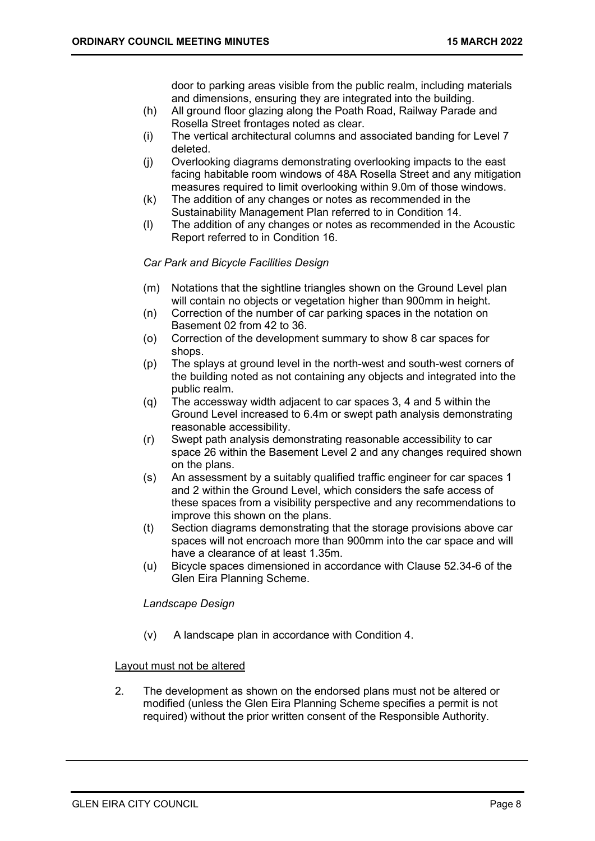door to parking areas visible from the public realm, including materials and dimensions, ensuring they are integrated into the building.

- (h) All ground floor glazing along the Poath Road, Railway Parade and Rosella Street frontages noted as clear.
- (i) The vertical architectural columns and associated banding for Level 7 deleted.
- (j) Overlooking diagrams demonstrating overlooking impacts to the east facing habitable room windows of 48A Rosella Street and any mitigation measures required to limit overlooking within 9.0m of those windows.
- (k) The addition of any changes or notes as recommended in the Sustainability Management Plan referred to in Condition 14.
- (l) The addition of any changes or notes as recommended in the Acoustic Report referred to in Condition 16.

### Car Park and Bicycle Facilities Design

- (m) Notations that the sightline triangles shown on the Ground Level plan will contain no objects or vegetation higher than 900mm in height.
- (n) Correction of the number of car parking spaces in the notation on Basement 02 from 42 to 36.
- (o) Correction of the development summary to show 8 car spaces for shops.
- (p) The splays at ground level in the north-west and south-west corners of the building noted as not containing any objects and integrated into the public realm.
- (q) The accessway width adjacent to car spaces 3, 4 and 5 within the Ground Level increased to 6.4m or swept path analysis demonstrating reasonable accessibility.
- (r) Swept path analysis demonstrating reasonable accessibility to car space 26 within the Basement Level 2 and any changes required shown on the plans.
- (s) An assessment by a suitably qualified traffic engineer for car spaces 1 and 2 within the Ground Level, which considers the safe access of these spaces from a visibility perspective and any recommendations to improve this shown on the plans.
- (t) Section diagrams demonstrating that the storage provisions above car spaces will not encroach more than 900mm into the car space and will have a clearance of at least 1.35m.
- (u) Bicycle spaces dimensioned in accordance with Clause 52.34-6 of the Glen Eira Planning Scheme.

### Landscape Design

(v) A landscape plan in accordance with Condition 4.

### Layout must not be altered

2. The development as shown on the endorsed plans must not be altered or modified (unless the Glen Eira Planning Scheme specifies a permit is not required) without the prior written consent of the Responsible Authority.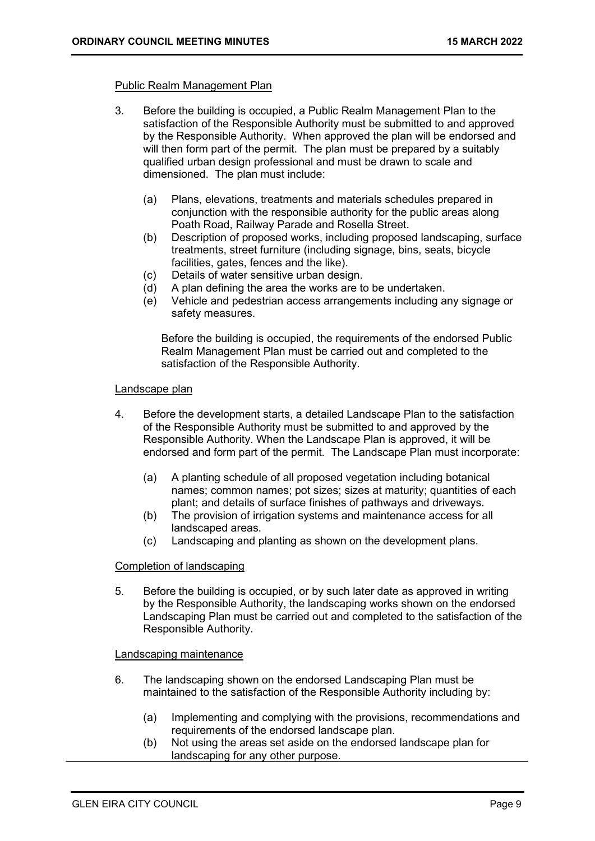### Public Realm Management Plan

- 3. Before the building is occupied, a Public Realm Management Plan to the satisfaction of the Responsible Authority must be submitted to and approved by the Responsible Authority. When approved the plan will be endorsed and will then form part of the permit. The plan must be prepared by a suitably qualified urban design professional and must be drawn to scale and dimensioned. The plan must include:
	- (a) Plans, elevations, treatments and materials schedules prepared in conjunction with the responsible authority for the public areas along Poath Road, Railway Parade and Rosella Street.
	- (b) Description of proposed works, including proposed landscaping, surface treatments, street furniture (including signage, bins, seats, bicycle facilities, gates, fences and the like).
	- (c) Details of water sensitive urban design.
	- (d) A plan defining the area the works are to be undertaken.
	- (e) Vehicle and pedestrian access arrangements including any signage or safety measures.

Before the building is occupied, the requirements of the endorsed Public Realm Management Plan must be carried out and completed to the satisfaction of the Responsible Authority.

### Landscape plan

- 4. Before the development starts, a detailed Landscape Plan to the satisfaction of the Responsible Authority must be submitted to and approved by the Responsible Authority. When the Landscape Plan is approved, it will be endorsed and form part of the permit. The Landscape Plan must incorporate:
	- (a) A planting schedule of all proposed vegetation including botanical names; common names; pot sizes; sizes at maturity; quantities of each plant; and details of surface finishes of pathways and driveways.
	- (b) The provision of irrigation systems and maintenance access for all landscaped areas.
	- (c) Landscaping and planting as shown on the development plans.

### Completion of landscaping

5. Before the building is occupied, or by such later date as approved in writing by the Responsible Authority, the landscaping works shown on the endorsed Landscaping Plan must be carried out and completed to the satisfaction of the Responsible Authority.

### Landscaping maintenance

- 6. The landscaping shown on the endorsed Landscaping Plan must be maintained to the satisfaction of the Responsible Authority including by:
	- (a) Implementing and complying with the provisions, recommendations and requirements of the endorsed landscape plan.
	- (b) Not using the areas set aside on the endorsed landscape plan for landscaping for any other purpose.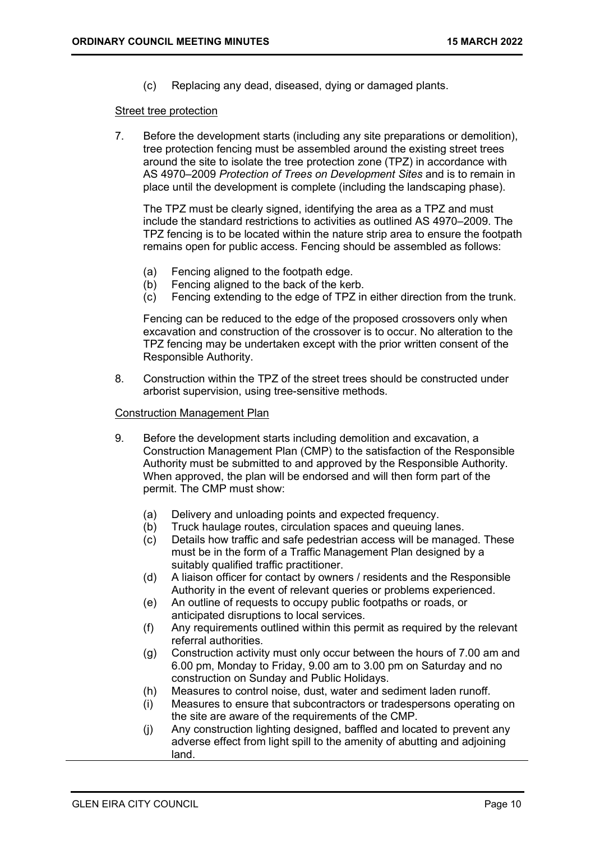(c) Replacing any dead, diseased, dying or damaged plants.

### Street tree protection

7. Before the development starts (including any site preparations or demolition), tree protection fencing must be assembled around the existing street trees around the site to isolate the tree protection zone (TPZ) in accordance with AS 4970–2009 Protection of Trees on Development Sites and is to remain in place until the development is complete (including the landscaping phase).

The TPZ must be clearly signed, identifying the area as a TPZ and must include the standard restrictions to activities as outlined AS 4970–2009. The TPZ fencing is to be located within the nature strip area to ensure the footpath remains open for public access. Fencing should be assembled as follows:

- (a) Fencing aligned to the footpath edge.
- (b) Fencing aligned to the back of the kerb.
- (c) Fencing extending to the edge of TPZ in either direction from the trunk.

Fencing can be reduced to the edge of the proposed crossovers only when excavation and construction of the crossover is to occur. No alteration to the TPZ fencing may be undertaken except with the prior written consent of the Responsible Authority.

8. Construction within the TPZ of the street trees should be constructed under arborist supervision, using tree-sensitive methods.

### Construction Management Plan

- 9. Before the development starts including demolition and excavation, a Construction Management Plan (CMP) to the satisfaction of the Responsible Authority must be submitted to and approved by the Responsible Authority. When approved, the plan will be endorsed and will then form part of the permit. The CMP must show:
	- (a) Delivery and unloading points and expected frequency.
	- (b) Truck haulage routes, circulation spaces and queuing lanes.
	- (c) Details how traffic and safe pedestrian access will be managed. These must be in the form of a Traffic Management Plan designed by a suitably qualified traffic practitioner.
	- (d) A liaison officer for contact by owners / residents and the Responsible Authority in the event of relevant queries or problems experienced.
	- (e) An outline of requests to occupy public footpaths or roads, or anticipated disruptions to local services.
	- (f) Any requirements outlined within this permit as required by the relevant referral authorities.
	- (g) Construction activity must only occur between the hours of 7.00 am and 6.00 pm, Monday to Friday, 9.00 am to 3.00 pm on Saturday and no construction on Sunday and Public Holidays.
	- (h) Measures to control noise, dust, water and sediment laden runoff.
	- (i) Measures to ensure that subcontractors or tradespersons operating on the site are aware of the requirements of the CMP.
	- (j) Any construction lighting designed, baffled and located to prevent any adverse effect from light spill to the amenity of abutting and adjoining land.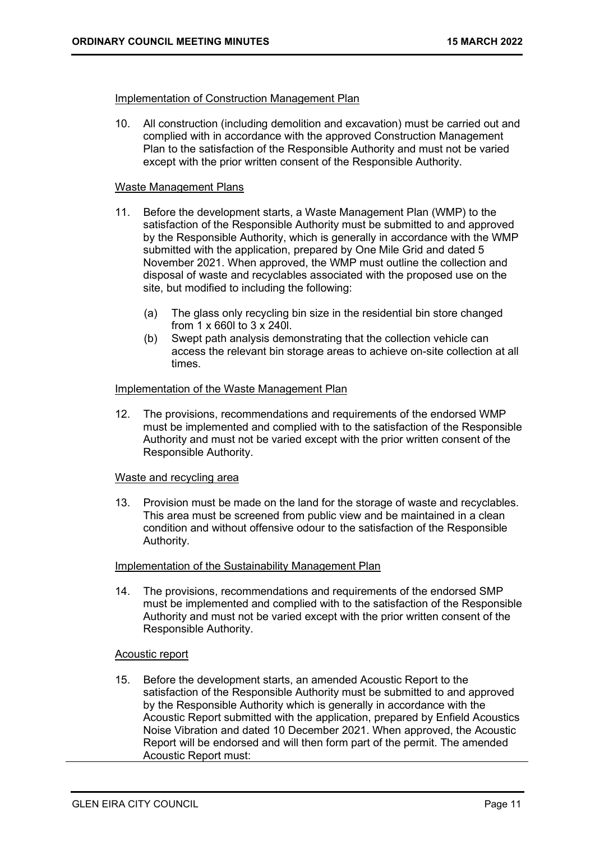### Implementation of Construction Management Plan

10. All construction (including demolition and excavation) must be carried out and complied with in accordance with the approved Construction Management Plan to the satisfaction of the Responsible Authority and must not be varied except with the prior written consent of the Responsible Authority.

### Waste Management Plans

- 11. Before the development starts, a Waste Management Plan (WMP) to the satisfaction of the Responsible Authority must be submitted to and approved by the Responsible Authority, which is generally in accordance with the WMP submitted with the application, prepared by One Mile Grid and dated 5 November 2021. When approved, the WMP must outline the collection and disposal of waste and recyclables associated with the proposed use on the site, but modified to including the following:
	- (a) The glass only recycling bin size in the residential bin store changed from 1 x 660l to 3 x 240l.
	- (b) Swept path analysis demonstrating that the collection vehicle can access the relevant bin storage areas to achieve on-site collection at all times.

### Implementation of the Waste Management Plan

12. The provisions, recommendations and requirements of the endorsed WMP must be implemented and complied with to the satisfaction of the Responsible Authority and must not be varied except with the prior written consent of the Responsible Authority.

### Waste and recycling area

13. Provision must be made on the land for the storage of waste and recyclables. This area must be screened from public view and be maintained in a clean condition and without offensive odour to the satisfaction of the Responsible Authority.

### Implementation of the Sustainability Management Plan

14. The provisions, recommendations and requirements of the endorsed SMP must be implemented and complied with to the satisfaction of the Responsible Authority and must not be varied except with the prior written consent of the Responsible Authority.

### Acoustic report

15. Before the development starts, an amended Acoustic Report to the satisfaction of the Responsible Authority must be submitted to and approved by the Responsible Authority which is generally in accordance with the Acoustic Report submitted with the application, prepared by Enfield Acoustics Noise Vibration and dated 10 December 2021. When approved, the Acoustic Report will be endorsed and will then form part of the permit. The amended Acoustic Report must: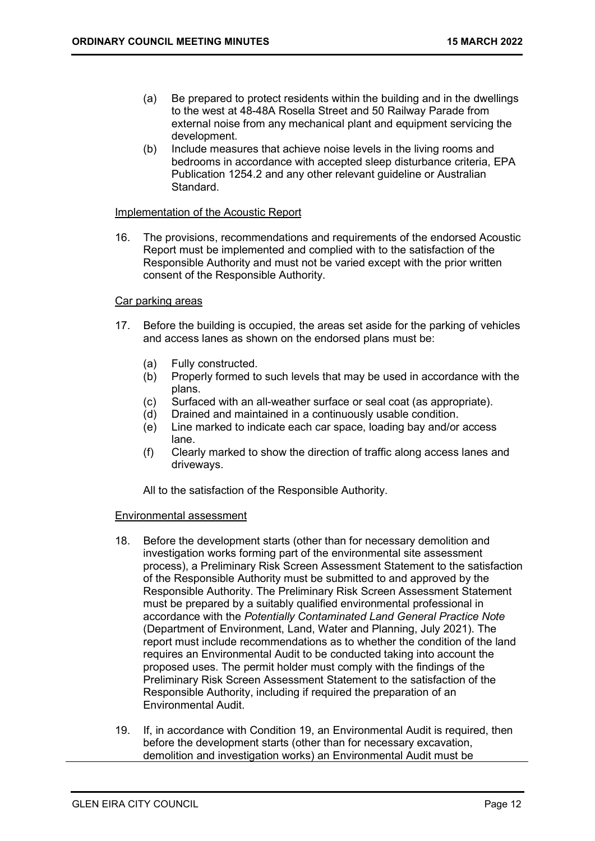- (a) Be prepared to protect residents within the building and in the dwellings to the west at 48-48A Rosella Street and 50 Railway Parade from external noise from any mechanical plant and equipment servicing the development.
- (b) Include measures that achieve noise levels in the living rooms and bedrooms in accordance with accepted sleep disturbance criteria, EPA Publication 1254.2 and any other relevant guideline or Australian Standard.

### Implementation of the Acoustic Report

16. The provisions, recommendations and requirements of the endorsed Acoustic Report must be implemented and complied with to the satisfaction of the Responsible Authority and must not be varied except with the prior written consent of the Responsible Authority.

### Car parking areas

- 17. Before the building is occupied, the areas set aside for the parking of vehicles and access lanes as shown on the endorsed plans must be:
	- (a) Fully constructed.
	- (b) Properly formed to such levels that may be used in accordance with the plans.
	- (c) Surfaced with an all-weather surface or seal coat (as appropriate).
	- (d) Drained and maintained in a continuously usable condition.
	- (e) Line marked to indicate each car space, loading bay and/or access lane.
	- (f) Clearly marked to show the direction of traffic along access lanes and driveways.

All to the satisfaction of the Responsible Authority.

### Environmental assessment

- 18. Before the development starts (other than for necessary demolition and investigation works forming part of the environmental site assessment process), a Preliminary Risk Screen Assessment Statement to the satisfaction of the Responsible Authority must be submitted to and approved by the Responsible Authority. The Preliminary Risk Screen Assessment Statement must be prepared by a suitably qualified environmental professional in accordance with the Potentially Contaminated Land General Practice Note (Department of Environment, Land, Water and Planning, July 2021). The report must include recommendations as to whether the condition of the land requires an Environmental Audit to be conducted taking into account the proposed uses. The permit holder must comply with the findings of the Preliminary Risk Screen Assessment Statement to the satisfaction of the Responsible Authority, including if required the preparation of an Environmental Audit.
- 19. If, in accordance with Condition 19, an Environmental Audit is required, then before the development starts (other than for necessary excavation, demolition and investigation works) an Environmental Audit must be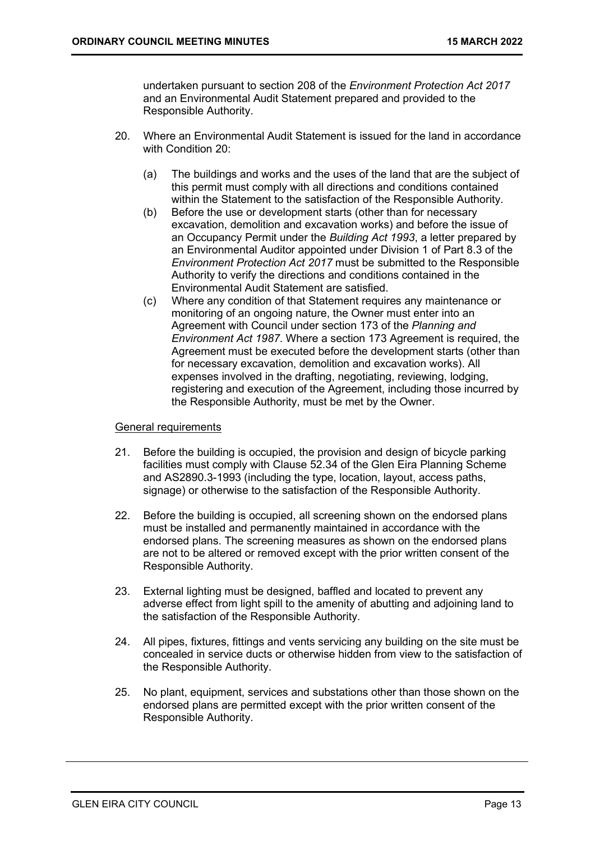undertaken pursuant to section 208 of the Environment Protection Act 2017 and an Environmental Audit Statement prepared and provided to the Responsible Authority.

- 20. Where an Environmental Audit Statement is issued for the land in accordance with Condition 20:
	- (a) The buildings and works and the uses of the land that are the subject of this permit must comply with all directions and conditions contained within the Statement to the satisfaction of the Responsible Authority.
	- (b) Before the use or development starts (other than for necessary excavation, demolition and excavation works) and before the issue of an Occupancy Permit under the Building Act 1993, a letter prepared by an Environmental Auditor appointed under Division 1 of Part 8.3 of the Environment Protection Act 2017 must be submitted to the Responsible Authority to verify the directions and conditions contained in the Environmental Audit Statement are satisfied.
	- (c) Where any condition of that Statement requires any maintenance or monitoring of an ongoing nature, the Owner must enter into an Agreement with Council under section 173 of the Planning and Environment Act 1987. Where a section 173 Agreement is required, the Agreement must be executed before the development starts (other than for necessary excavation, demolition and excavation works). All expenses involved in the drafting, negotiating, reviewing, lodging, registering and execution of the Agreement, including those incurred by the Responsible Authority, must be met by the Owner.

### General requirements

- 21. Before the building is occupied, the provision and design of bicycle parking facilities must comply with Clause 52.34 of the Glen Eira Planning Scheme and AS2890.3-1993 (including the type, location, layout, access paths, signage) or otherwise to the satisfaction of the Responsible Authority.
- 22. Before the building is occupied, all screening shown on the endorsed plans must be installed and permanently maintained in accordance with the endorsed plans. The screening measures as shown on the endorsed plans are not to be altered or removed except with the prior written consent of the Responsible Authority.
- 23. External lighting must be designed, baffled and located to prevent any adverse effect from light spill to the amenity of abutting and adjoining land to the satisfaction of the Responsible Authority.
- 24. All pipes, fixtures, fittings and vents servicing any building on the site must be concealed in service ducts or otherwise hidden from view to the satisfaction of the Responsible Authority.
- 25. No plant, equipment, services and substations other than those shown on the endorsed plans are permitted except with the prior written consent of the Responsible Authority.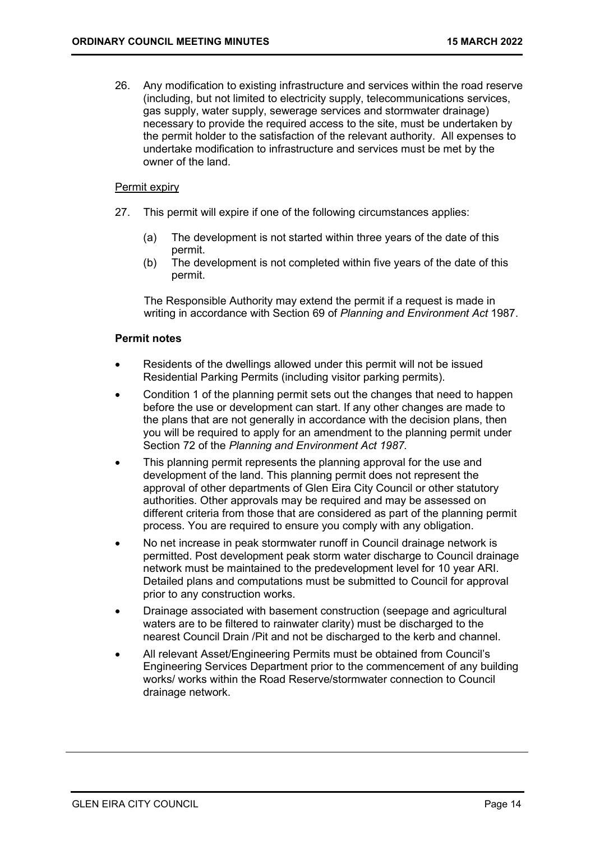26. Any modification to existing infrastructure and services within the road reserve (including, but not limited to electricity supply, telecommunications services, gas supply, water supply, sewerage services and stormwater drainage) necessary to provide the required access to the site, must be undertaken by the permit holder to the satisfaction of the relevant authority. All expenses to undertake modification to infrastructure and services must be met by the owner of the land.

### Permit expiry

- 27. This permit will expire if one of the following circumstances applies:
	- (a) The development is not started within three years of the date of this permit.
	- (b) The development is not completed within five years of the date of this permit.

The Responsible Authority may extend the permit if a request is made in writing in accordance with Section 69 of Planning and Environment Act 1987.

### Permit notes

- Residents of the dwellings allowed under this permit will not be issued Residential Parking Permits (including visitor parking permits).
- Condition 1 of the planning permit sets out the changes that need to happen before the use or development can start. If any other changes are made to the plans that are not generally in accordance with the decision plans, then you will be required to apply for an amendment to the planning permit under Section 72 of the Planning and Environment Act 1987.
- This planning permit represents the planning approval for the use and development of the land. This planning permit does not represent the approval of other departments of Glen Eira City Council or other statutory authorities. Other approvals may be required and may be assessed on different criteria from those that are considered as part of the planning permit process. You are required to ensure you comply with any obligation.
- No net increase in peak stormwater runoff in Council drainage network is permitted. Post development peak storm water discharge to Council drainage network must be maintained to the predevelopment level for 10 year ARI. Detailed plans and computations must be submitted to Council for approval prior to any construction works.
- Drainage associated with basement construction (seepage and agricultural waters are to be filtered to rainwater clarity) must be discharged to the nearest Council Drain /Pit and not be discharged to the kerb and channel.
- All relevant Asset/Engineering Permits must be obtained from Council's Engineering Services Department prior to the commencement of any building works/ works within the Road Reserve/stormwater connection to Council drainage network.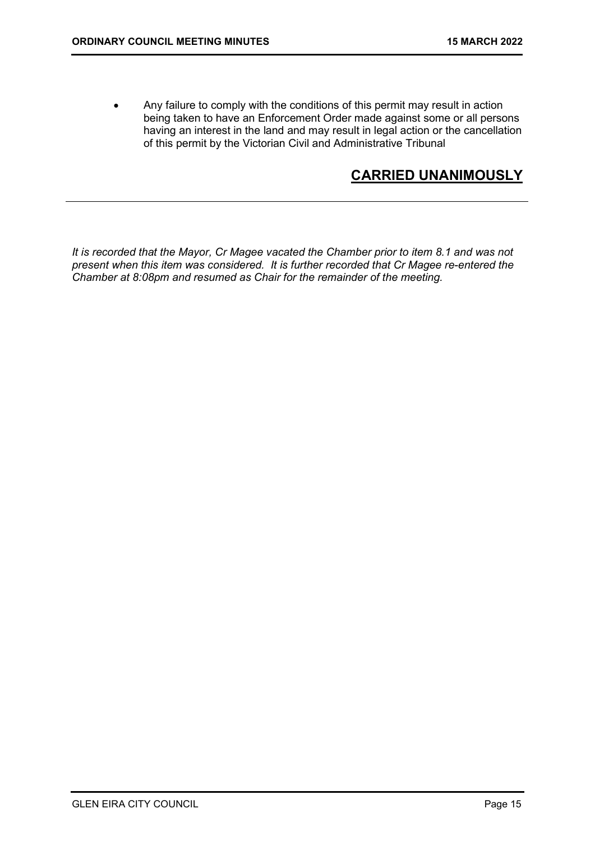Any failure to comply with the conditions of this permit may result in action being taken to have an Enforcement Order made against some or all persons having an interest in the land and may result in legal action or the cancellation of this permit by the Victorian Civil and Administrative Tribunal

# CARRIED UNANIMOUSLY

It is recorded that the Mayor, Cr Magee vacated the Chamber prior to item 8.1 and was not present when this item was considered. It is further recorded that Cr Magee re-entered the Chamber at 8:08pm and resumed as Chair for the remainder of the meeting.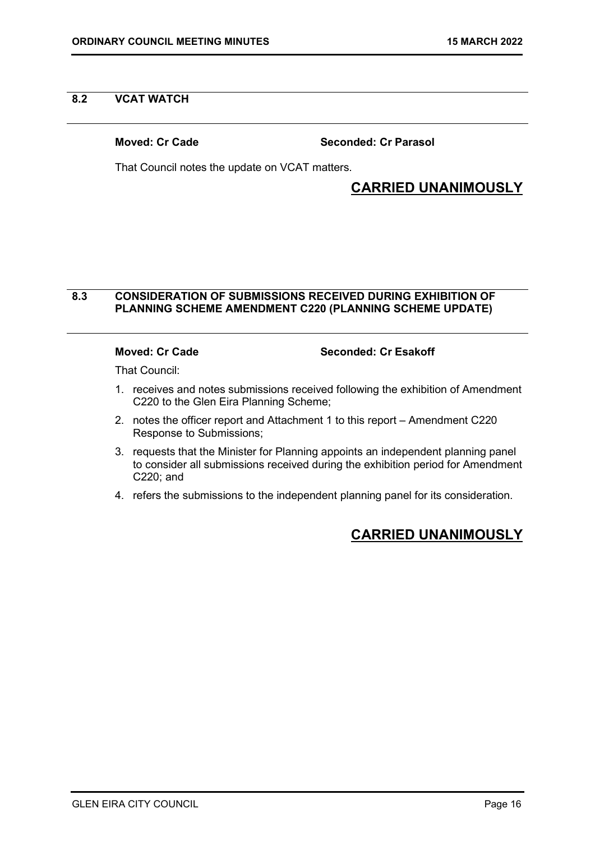### 8.2 VCAT WATCH

Moved: Cr Cade Seconded: Cr Parasol

That Council notes the update on VCAT matters.

# CARRIED UNANIMOUSLY

### 8.3 CONSIDERATION OF SUBMISSIONS RECEIVED DURING EXHIBITION OF PLANNING SCHEME AMENDMENT C220 (PLANNING SCHEME UPDATE)

Moved: Cr Cade Seconded: Cr Esakoff

That Council:

- 1. receives and notes submissions received following the exhibition of Amendment C220 to the Glen Eira Planning Scheme;
- 2. notes the officer report and Attachment 1 to this report Amendment C220 Response to Submissions;
- 3. requests that the Minister for Planning appoints an independent planning panel to consider all submissions received during the exhibition period for Amendment C220; and
- 4. refers the submissions to the independent planning panel for its consideration.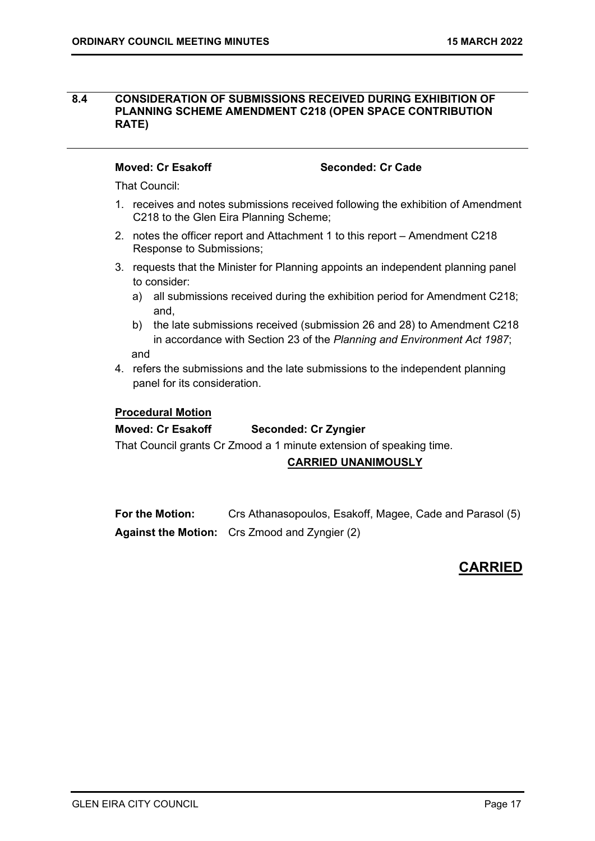### 8.4 CONSIDERATION OF SUBMISSIONS RECEIVED DURING EXHIBITION OF PLANNING SCHEME AMENDMENT C218 (OPEN SPACE CONTRIBUTION RATE)

### Moved: Cr Esakoff Seconded: Cr Cade

That Council:

- 1. receives and notes submissions received following the exhibition of Amendment C218 to the Glen Eira Planning Scheme;
- 2. notes the officer report and Attachment 1 to this report Amendment C218 Response to Submissions;
- 3. requests that the Minister for Planning appoints an independent planning panel to consider:
	- a) all submissions received during the exhibition period for Amendment C218; and,
	- b) the late submissions received (submission 26 and 28) to Amendment C218 in accordance with Section 23 of the Planning and Environment Act 1987; and
- 4. refers the submissions and the late submissions to the independent planning panel for its consideration.

### Procedural Motion

### Moved: Cr Esakoff Seconded: Cr Zyngier

That Council grants Cr Zmood a 1 minute extension of speaking time.

### CARRIED UNANIMOUSLY

For the Motion: Crs Athanasopoulos, Esakoff, Magee, Cade and Parasol (5) Against the Motion: Crs Zmood and Zyngier (2)

# **CARRIED**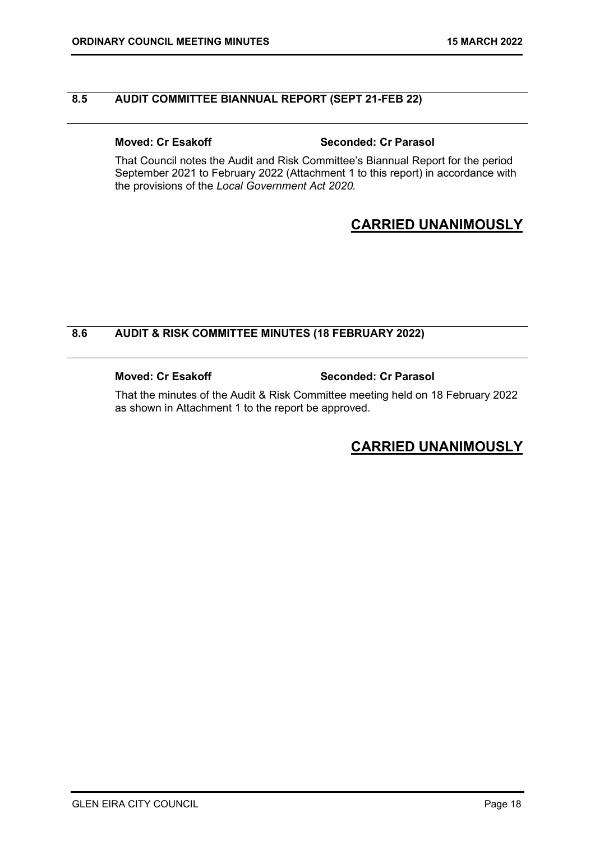### 8.5 AUDIT COMMITTEE BIANNUAL REPORT (SEPT 21-FEB 22)

### Moved: Cr Esakoff Seconded: Cr Parasol

That Council notes the Audit and Risk Committee's Biannual Report for the period September 2021 to February 2022 (Attachment 1 to this report) in accordance with the provisions of the Local Government Act 2020.

# CARRIED UNANIMOUSLY

### 8.6 AUDIT & RISK COMMITTEE MINUTES (18 FEBRUARY 2022)

### Moved: Cr Esakoff Seconded: Cr Parasol

That the minutes of the Audit & Risk Committee meeting held on 18 February 2022 as shown in Attachment 1 to the report be approved.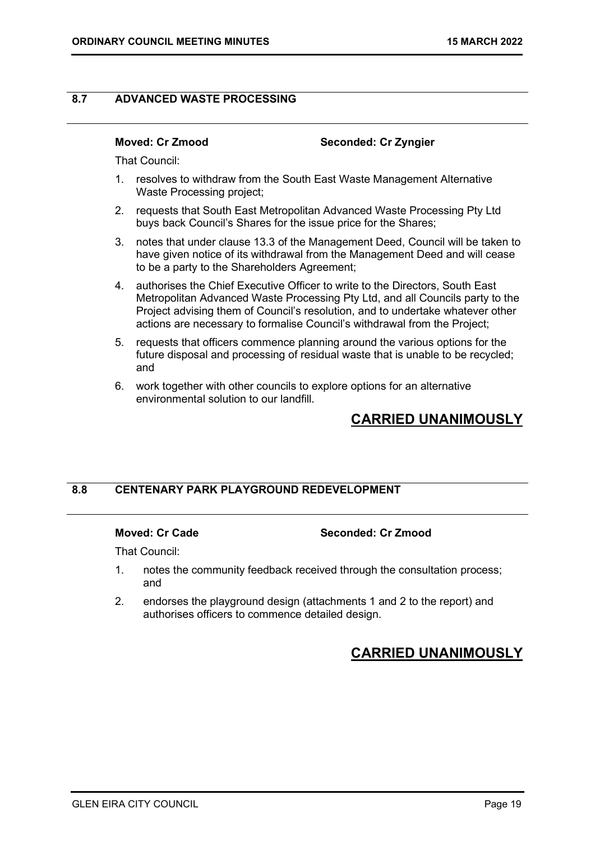### 8.7 ADVANCED WASTE PROCESSING

### Moved: Cr Zmood Seconded: Cr Zyngier

That Council:

- 1. resolves to withdraw from the South East Waste Management Alternative Waste Processing project;
- 2. requests that South East Metropolitan Advanced Waste Processing Pty Ltd buys back Council's Shares for the issue price for the Shares;
- 3. notes that under clause 13.3 of the Management Deed, Council will be taken to have given notice of its withdrawal from the Management Deed and will cease to be a party to the Shareholders Agreement;
- 4. authorises the Chief Executive Officer to write to the Directors, South East Metropolitan Advanced Waste Processing Pty Ltd, and all Councils party to the Project advising them of Council's resolution, and to undertake whatever other actions are necessary to formalise Council's withdrawal from the Project;
- 5. requests that officers commence planning around the various options for the future disposal and processing of residual waste that is unable to be recycled; and
- 6. work together with other councils to explore options for an alternative environmental solution to our landfill.

# CARRIED UNANIMOUSLY

### 8.8 CENTENARY PARK PLAYGROUND REDEVELOPMENT

### Moved: Cr Cade Seconded: Cr Zmood

That Council:

- 1. notes the community feedback received through the consultation process; and
- 2. endorses the playground design (attachments 1 and 2 to the report) and authorises officers to commence detailed design.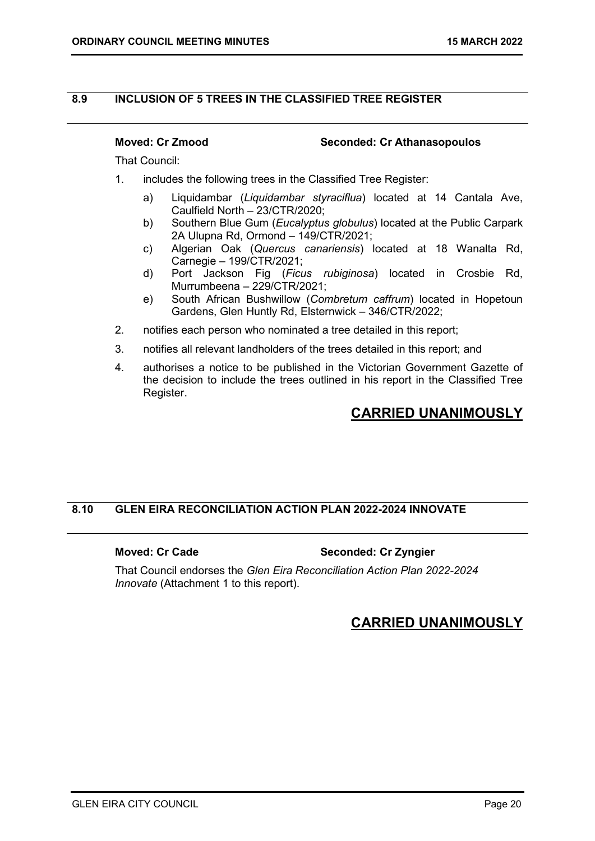### 8.9 INCLUSION OF 5 TREES IN THE CLASSIFIED TREE REGISTER

### Moved: Cr Zmood Seconded: Cr Athanasopoulos

That Council:

- 1. includes the following trees in the Classified Tree Register:
	- a) Liquidambar (Liquidambar styraciflua) located at 14 Cantala Ave, Caulfield North – 23/CTR/2020;
	- b) Southern Blue Gum (Eucalyptus globulus) located at the Public Carpark 2A Ulupna Rd, Ormond – 149/CTR/2021;
	- c) Algerian Oak (Quercus canariensis) located at 18 Wanalta Rd, Carnegie – 199/CTR/2021;
	- d) Port Jackson Fig (Ficus rubiginosa) located in Crosbie Rd, Murrumbeena – 229/CTR/2021;
	- e) South African Bushwillow (Combretum caffrum) located in Hopetoun Gardens, Glen Huntly Rd, Elsternwick – 346/CTR/2022;
- 2. notifies each person who nominated a tree detailed in this report;
- 3. notifies all relevant landholders of the trees detailed in this report; and
- 4. authorises a notice to be published in the Victorian Government Gazette of the decision to include the trees outlined in his report in the Classified Tree Register.

# CARRIED UNANIMOUSLY

### 8.10 GLEN EIRA RECONCILIATION ACTION PLAN 2022-2024 INNOVATE

### Moved: Cr Cade Seconded: Cr Zyngier

That Council endorses the Glen Eira Reconciliation Action Plan 2022-2024 Innovate (Attachment 1 to this report).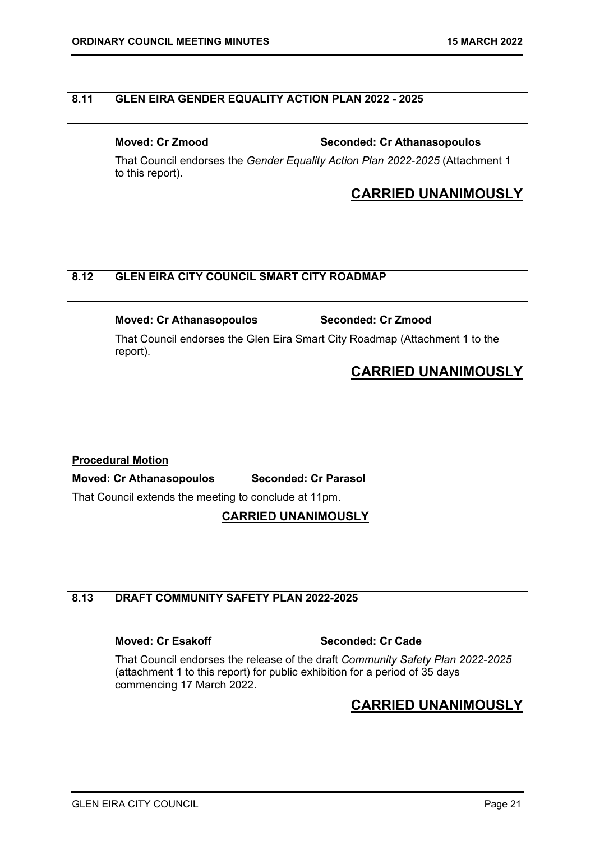### 8.11 GLEN EIRA GENDER EQUALITY ACTION PLAN 2022 - 2025

Moved: Cr Zmood Seconded: Cr Athanasopoulos

That Council endorses the Gender Equality Action Plan 2022-2025 (Attachment 1 to this report).

## CARRIED UNANIMOUSLY

### 8.12 GLEN EIRA CITY COUNCIL SMART CITY ROADMAP

### Moved: Cr Athanasopoulos Seconded: Cr Zmood

That Council endorses the Glen Eira Smart City Roadmap (Attachment 1 to the report).

# CARRIED UNANIMOUSLY

### Procedural Motion

### Moved: Cr Athanasopoulos Seconded: Cr Parasol

That Council extends the meeting to conclude at 11pm.

### CARRIED UNANIMOUSLY

# 8.13 DRAFT COMMUNITY SAFETY PLAN 2022-2025

### Moved: Cr Esakoff Seconded: Cr Cade

That Council endorses the release of the draft Community Safety Plan 2022-2025 (attachment 1 to this report) for public exhibition for a period of 35 days commencing 17 March 2022.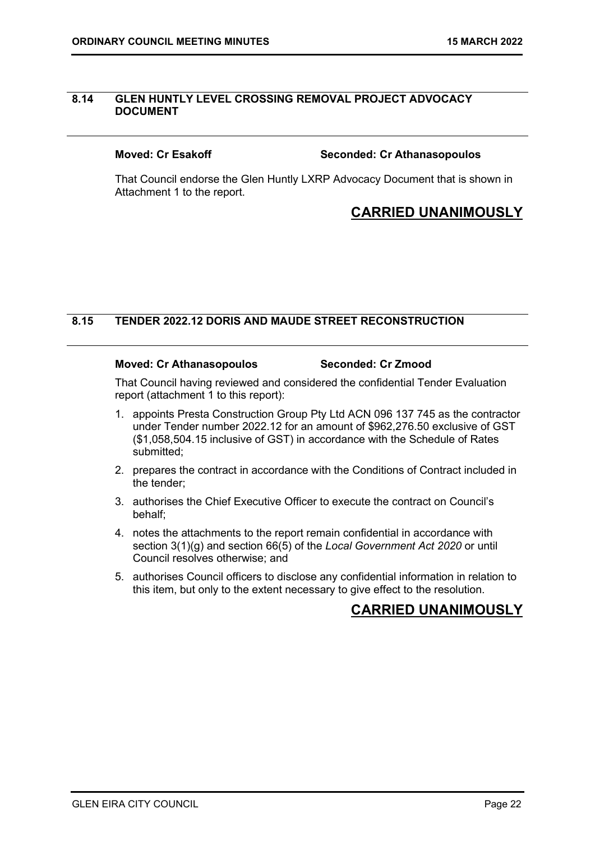### 8.14 GLEN HUNTLY LEVEL CROSSING REMOVAL PROJECT ADVOCACY DOCUMENT

### Moved: Cr Esakoff Seconded: Cr Athanasopoulos

That Council endorse the Glen Huntly LXRP Advocacy Document that is shown in Attachment 1 to the report.

# CARRIED UNANIMOUSLY

### 8.15 TENDER 2022.12 DORIS AND MAUDE STREET RECONSTRUCTION

### Moved: Cr Athanasopoulos Seconded: Cr Zmood

That Council having reviewed and considered the confidential Tender Evaluation report (attachment 1 to this report):

- 1. appoints Presta Construction Group Pty Ltd ACN 096 137 745 as the contractor under Tender number 2022.12 for an amount of \$962,276.50 exclusive of GST (\$1,058,504.15 inclusive of GST) in accordance with the Schedule of Rates submitted;
- 2. prepares the contract in accordance with the Conditions of Contract included in the tender;
- 3. authorises the Chief Executive Officer to execute the contract on Council's behalf;
- 4. notes the attachments to the report remain confidential in accordance with section 3(1)(g) and section 66(5) of the Local Government Act 2020 or until Council resolves otherwise; and
- 5. authorises Council officers to disclose any confidential information in relation to this item, but only to the extent necessary to give effect to the resolution.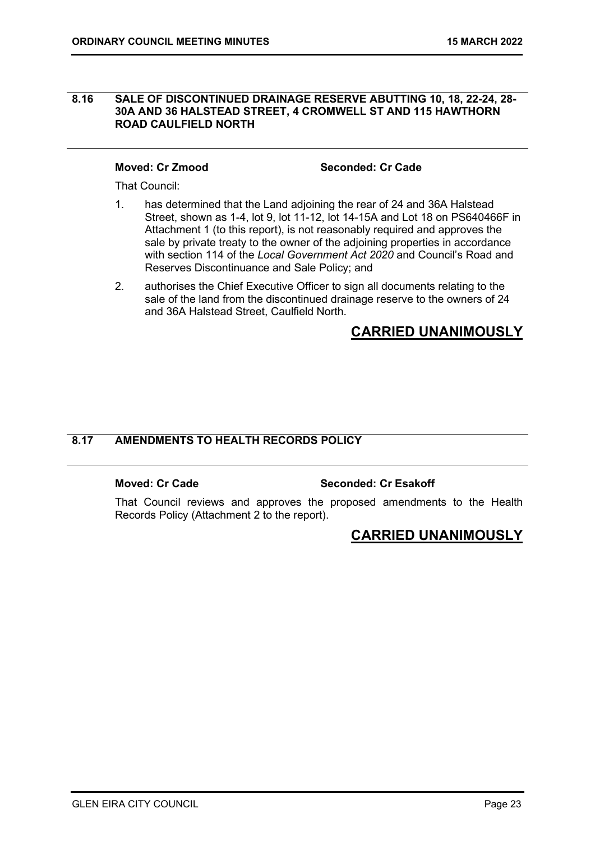### 8.16 SALE OF DISCONTINUED DRAINAGE RESERVE ABUTTING 10, 18, 22-24, 28- 30A AND 36 HALSTEAD STREET, 4 CROMWELL ST AND 115 HAWTHORN ROAD CAULFIELD NORTH

Moved: Cr Zmood Seconded: Cr Cade

That Council:

- 1. has determined that the Land adjoining the rear of 24 and 36A Halstead Street, shown as 1-4, lot 9, lot 11-12, lot 14-15A and Lot 18 on PS640466F in Attachment 1 (to this report), is not reasonably required and approves the sale by private treaty to the owner of the adjoining properties in accordance with section 114 of the Local Government Act 2020 and Council's Road and Reserves Discontinuance and Sale Policy; and
- 2. authorises the Chief Executive Officer to sign all documents relating to the sale of the land from the discontinued drainage reserve to the owners of 24 and 36A Halstead Street, Caulfield North.

# CARRIED UNANIMOUSLY

### 8.17 AMENDMENTS TO HEALTH RECORDS POLICY

### Moved: Cr Cade Seconded: Cr Esakoff

That Council reviews and approves the proposed amendments to the Health Records Policy (Attachment 2 to the report).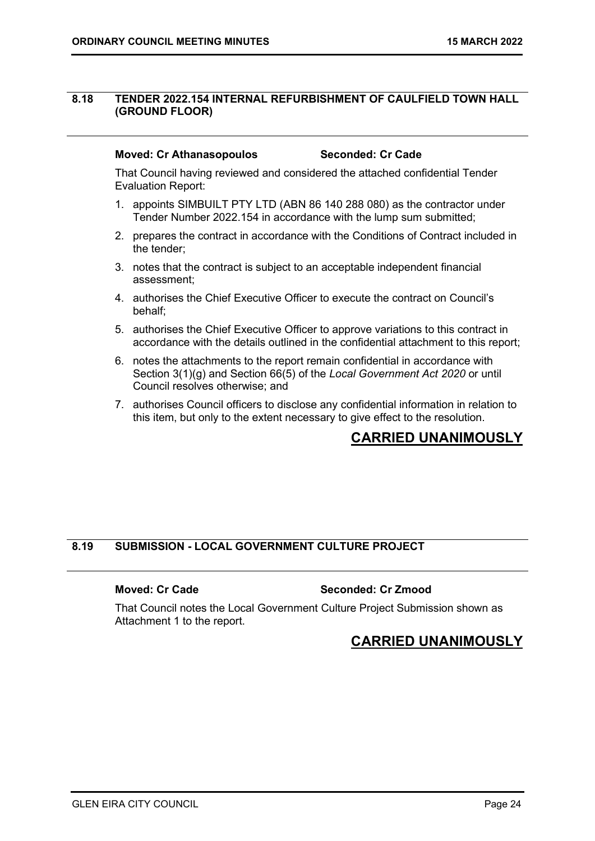### 8.18 TENDER 2022.154 INTERNAL REFURBISHMENT OF CAULFIELD TOWN HALL (GROUND FLOOR)

### Moved: Cr Athanasopoulos Seconded: Cr Cade

That Council having reviewed and considered the attached confidential Tender Evaluation Report:

- 1. appoints SIMBUILT PTY LTD (ABN 86 140 288 080) as the contractor under Tender Number 2022.154 in accordance with the lump sum submitted;
- 2. prepares the contract in accordance with the Conditions of Contract included in the tender;
- 3. notes that the contract is subject to an acceptable independent financial assessment;
- 4. authorises the Chief Executive Officer to execute the contract on Council's behalf;
- 5. authorises the Chief Executive Officer to approve variations to this contract in accordance with the details outlined in the confidential attachment to this report;
- 6. notes the attachments to the report remain confidential in accordance with Section 3(1)(g) and Section 66(5) of the Local Government Act 2020 or until Council resolves otherwise; and
- 7. authorises Council officers to disclose any confidential information in relation to this item, but only to the extent necessary to give effect to the resolution.

# CARRIED UNANIMOUSLY

### 8.19 SUBMISSION - LOCAL GOVERNMENT CULTURE PROJECT

### Moved: Cr Cade Seconded: Cr Zmood

That Council notes the Local Government Culture Project Submission shown as Attachment 1 to the report.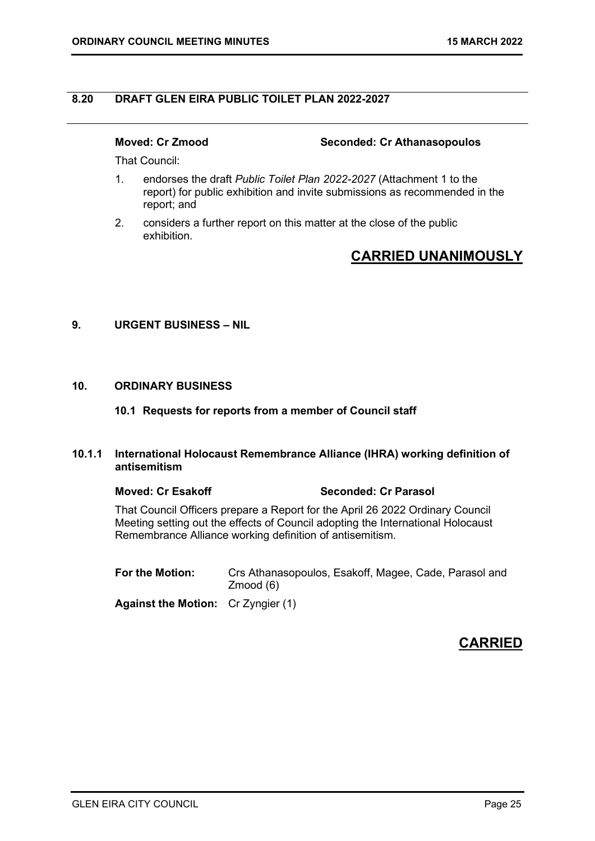### 8.20 DRAFT GLEN EIRA PUBLIC TOILET PLAN 2022-2027

Moved: Cr Zmood Seconded: Cr Athanasopoulos

That Council:

- 1. endorses the draft Public Toilet Plan 2022-2027 (Attachment 1 to the report) for public exhibition and invite submissions as recommended in the report; and
- 2. considers a further report on this matter at the close of the public exhibition.

# CARRIED UNANIMOUSLY

### 9. URGENT BUSINESS – NIL

### 10. ORDINARY BUSINESS

### 10.1 Requests for reports from a member of Council staff

### 10.1.1 International Holocaust Remembrance Alliance (IHRA) working definition of antisemitism

### Moved: Cr Esakoff Seconded: Cr Parasol

 That Council Officers prepare a Report for the April 26 2022 Ordinary Council Meeting setting out the effects of Council adopting the International Holocaust Remembrance Alliance working definition of antisemitism.

For the Motion: Crs Athanasopoulos, Esakoff, Magee, Cade, Parasol and Zmood (6)

Against the Motion: Cr Zyngier (1)

# **CARRIED**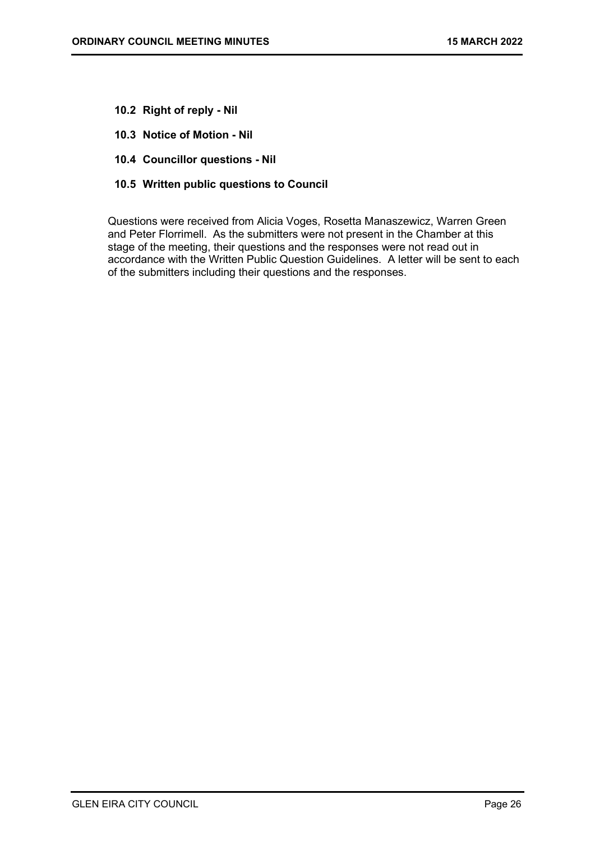- 10.2 Right of reply Nil
- 10.3 Notice of Motion Nil
- 10.4 Councillor questions Nil
- 10.5 Written public questions to Council

Questions were received from Alicia Voges, Rosetta Manaszewicz, Warren Green and Peter Florrimell. As the submitters were not present in the Chamber at this stage of the meeting, their questions and the responses were not read out in accordance with the Written Public Question Guidelines. A letter will be sent to each of the submitters including their questions and the responses.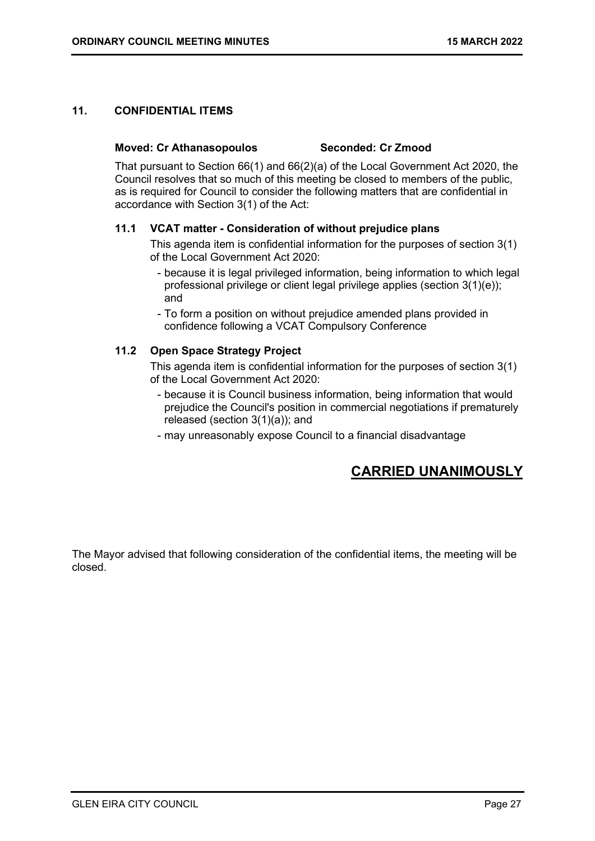### 11. CONFIDENTIAL ITEMS

### Moved: Cr Athanasopoulos Seconded: Cr Zmood

That pursuant to Section 66(1) and 66(2)(a) of the Local Government Act 2020, the Council resolves that so much of this meeting be closed to members of the public, as is required for Council to consider the following matters that are confidential in accordance with Section 3(1) of the Act:

### 11.1 VCAT matter - Consideration of without prejudice plans

This agenda item is confidential information for the purposes of section 3(1) of the Local Government Act 2020:

- because it is legal privileged information, being information to which legal professional privilege or client legal privilege applies (section 3(1)(e)); and
- To form a position on without prejudice amended plans provided in confidence following a VCAT Compulsory Conference

### 11.2 Open Space Strategy Project

This agenda item is confidential information for the purposes of section 3(1) of the Local Government Act 2020:

- because it is Council business information, being information that would prejudice the Council's position in commercial negotiations if prematurely released (section 3(1)(a)); and
- may unreasonably expose Council to a financial disadvantage

# CARRIED UNANIMOUSLY

The Mayor advised that following consideration of the confidential items, the meeting will be closed.